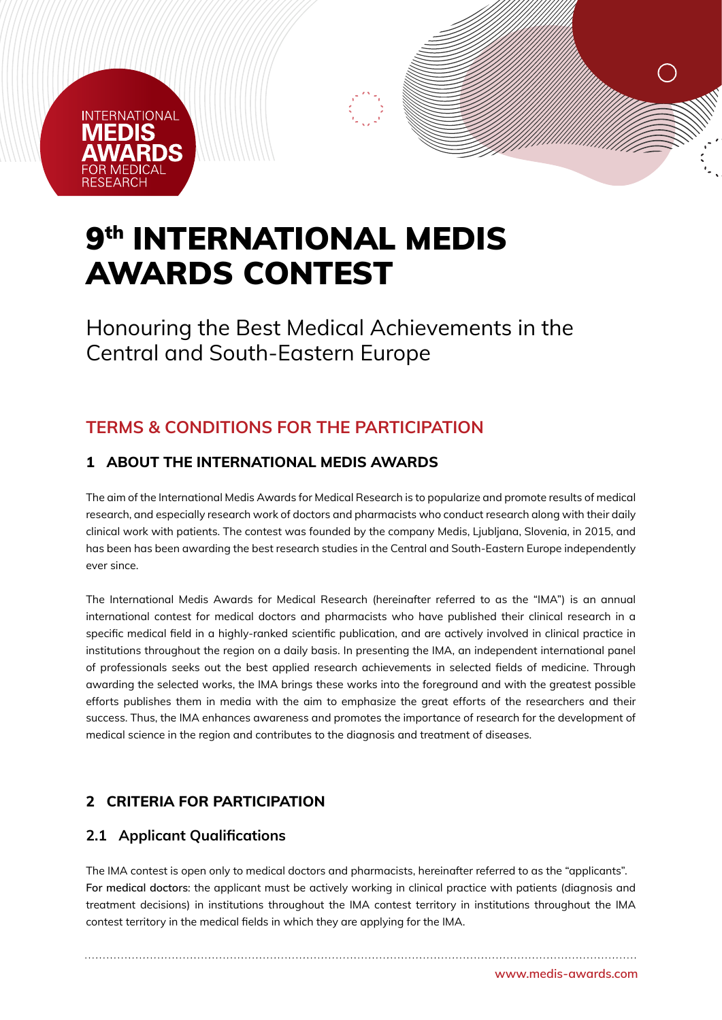# **INTERNATIONAL** MEDIS

# 9<sup>th</sup> INTERNATIONAL MEDIS AWARDS CONTEST

Honouring the Best Medical Achievements in the Central and South-Eastern Europe

# **TERMS & CONDITIONS FOR THE PARTICIPATION**

## **1 ABOUT THE INTERNATIONAL MEDIS AWARDS**

The aim of the International Medis Awards for Medical Research is to popularize and promote results of medical research, and especially research work of doctors and pharmacists who conduct research along with their daily clinical work with patients. The contest was founded by the company Medis, Ljubljana, Slovenia, in 2015, and has been has been awarding the best research studies in the Central and South-Eastern Europe independently ever since.

The International Medis Awards for Medical Research (hereinafter referred to as the "IMA") is an annual international contest for medical doctors and pharmacists who have published their clinical research in a specific medical field in a highly-ranked scientific publication, and are actively involved in clinical practice in institutions throughout the region on a daily basis. In presenting the IMA, an independent international panel of professionals seeks out the best applied research achievements in selected fields of medicine. Through awarding the selected works, the IMA brings these works into the foreground and with the greatest possible efforts publishes them in media with the aim to emphasize the great efforts of the researchers and their success. Thus, the IMA enhances awareness and promotes the importance of research for the development of medical science in the region and contributes to the diagnosis and treatment of diseases.

#### **2 CRITERIA FOR PARTICIPATION**

#### **2.1 Applicant Qualifications**

The IMA contest is open only to medical doctors and pharmacists, hereinafter referred to as the "applicants". **For medical doctors**: the applicant must be actively working in clinical practice with patients (diagnosis and treatment decisions) in institutions throughout the IMA contest territory in institutions throughout the IMA contest territory in the medical fields in which they are applying for the IMA.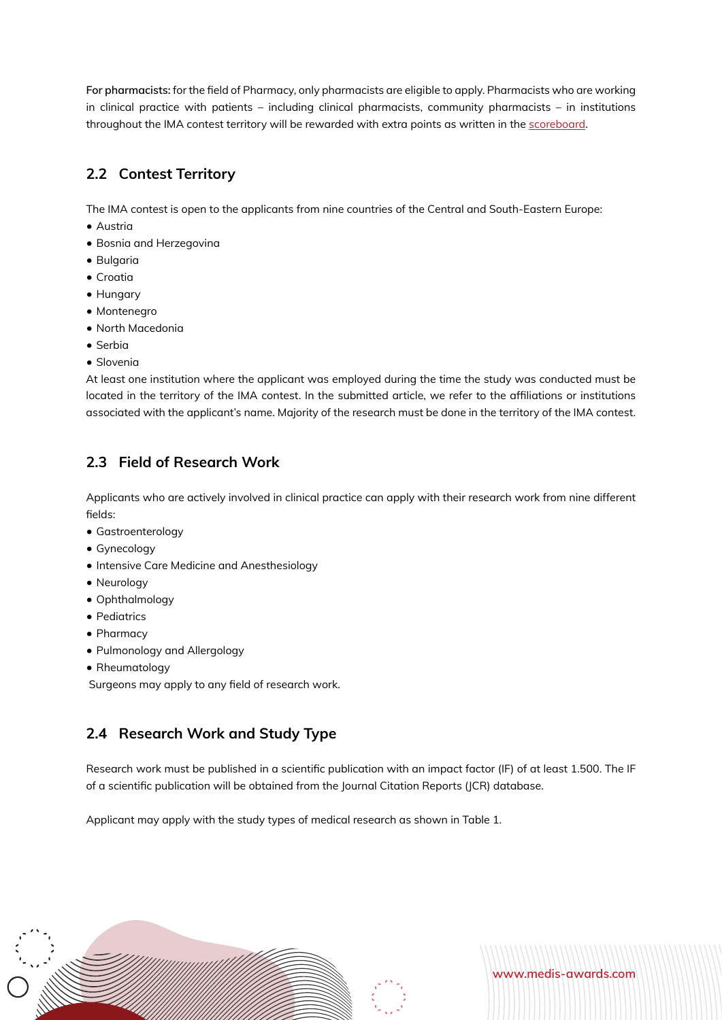**For pharmacists:** for the field of Pharmacy, only pharmacists are eligible to apply. Pharmacists who are working in clinical practice with patients – including clinical pharmacists, community pharmacists – in institutions throughout the IMA contest territory will be rewarded with extra points as written in the [scoreboard.](https://medis-awards.com/fileadmin/medis-awards/Documents/Scoreboard.pdf)

## **2.2 Contest Territory**

The IMA contest is open to the applicants from nine countries of the Central and South-Eastern Europe:

- Austria
- Bosnia and Herzegovina
- Bulgaria
- Croatia
- Hungary
- Montenegro
- North Macedonia
- Serbia
- Slovenia

At least one institution where the applicant was employed during the time the study was conducted must be located in the territory of the IMA contest. In the submitted article, we refer to the affiliations or institutions associated with the applicant's name. Majority of the research must be done in the territory of the IMA contest.

#### **2.3 Field of Research Work**

Applicants who are actively involved in clinical practice can apply with their research work from nine different fields:

- Gastroenterology
- Gynecology
- Intensive Care Medicine and Anesthesiology
- Neurology
- Ophthalmology
- Pediatrics
- Pharmacy
- Pulmonology and Allergology
- Rheumatology

Surgeons may apply to any field of research work.

#### **2.4 Research Work and Study Type**

Research work must be published in a scientific publication with an impact factor (IF) of at least 1.500. The IF of a scientific publication will be obtained from the Journal Citation Reports (JCR) database.

**www.medis-awards.com**

Applicant may apply with the study types of medical research as shown in Table 1.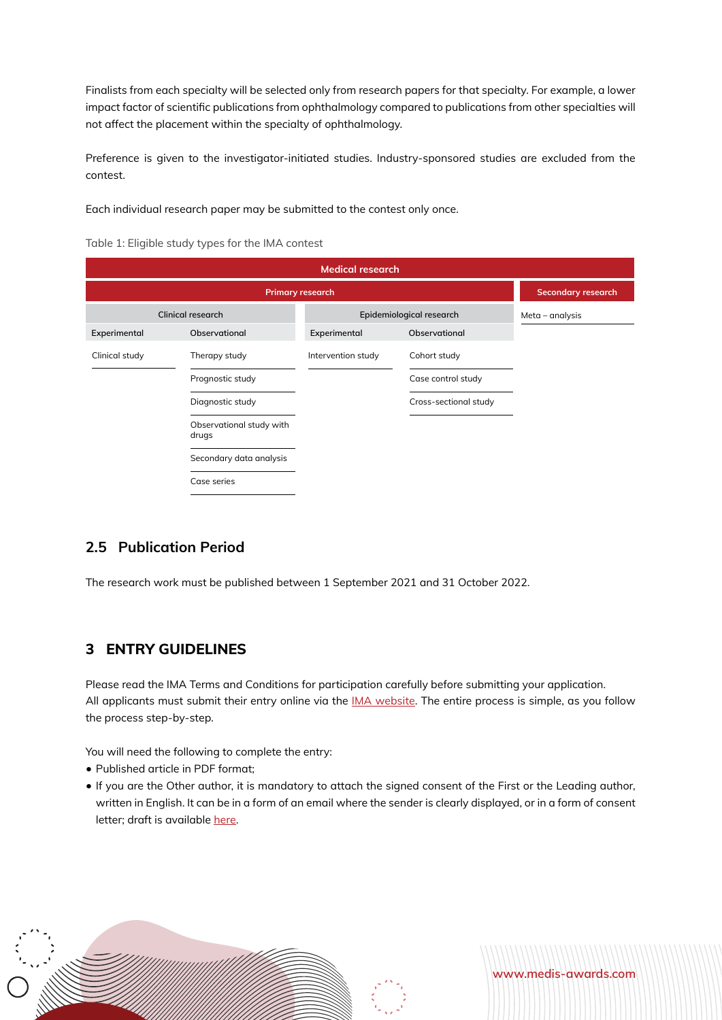Finalists from each specialty will be selected only from research papers for that specialty. For example, a lower impact factor of scientific publications from ophthalmology compared to publications from other specialties will not affect the placement within the specialty of ophthalmology.

Preference is given to the investigator-initiated studies. Industry-sponsored studies are excluded from the contest.

Each individual research paper may be submitted to the contest only once.

|  | Table 1: Eligible study types for the IMA contest |  |  |  |  |  |
|--|---------------------------------------------------|--|--|--|--|--|
|--|---------------------------------------------------|--|--|--|--|--|

| <b>Medical research</b>  |                                   |                          |                       |  |  |  |  |  |
|--------------------------|-----------------------------------|--------------------------|-----------------------|--|--|--|--|--|
|                          | <b>Secondary research</b>         |                          |                       |  |  |  |  |  |
| <b>Clinical research</b> |                                   | Epidemiological research | Meta – analysis       |  |  |  |  |  |
| Experimental             | Observational                     | Experimental             | Observational         |  |  |  |  |  |
| Clinical study           | Therapy study                     | Intervention study       | Cohort study          |  |  |  |  |  |
|                          | Prognostic study                  |                          | Case control study    |  |  |  |  |  |
|                          | Diagnostic study                  |                          | Cross-sectional study |  |  |  |  |  |
|                          | Observational study with<br>drugs |                          |                       |  |  |  |  |  |
|                          | Secondary data analysis           |                          |                       |  |  |  |  |  |
|                          | Case series                       |                          |                       |  |  |  |  |  |

#### **2.5 Publication Period**

The research work must be published between 1 September 2021 and 31 October 2022.

#### **3 ENTRY GUIDELINES**

Please read the IMA Terms and Conditions for participation carefully before submitting your application. All applicants must submit their entry online via the [IMA website](https://www.medis-awards.com/ ). The entire process is simple, as you follow the process step-by-step.

You will need the following to complete the entry:

- Published article in PDF format;
- If you are the Other author, it is mandatory to attach the signed consent of the First or the Leading author, written in English. It can be in a form of an email where the sender is clearly displayed, or in a form of consent letter; draft is available [here.](https://medis-awards.com/fileadmin/medis-awards/Documents/Consent.pdf )



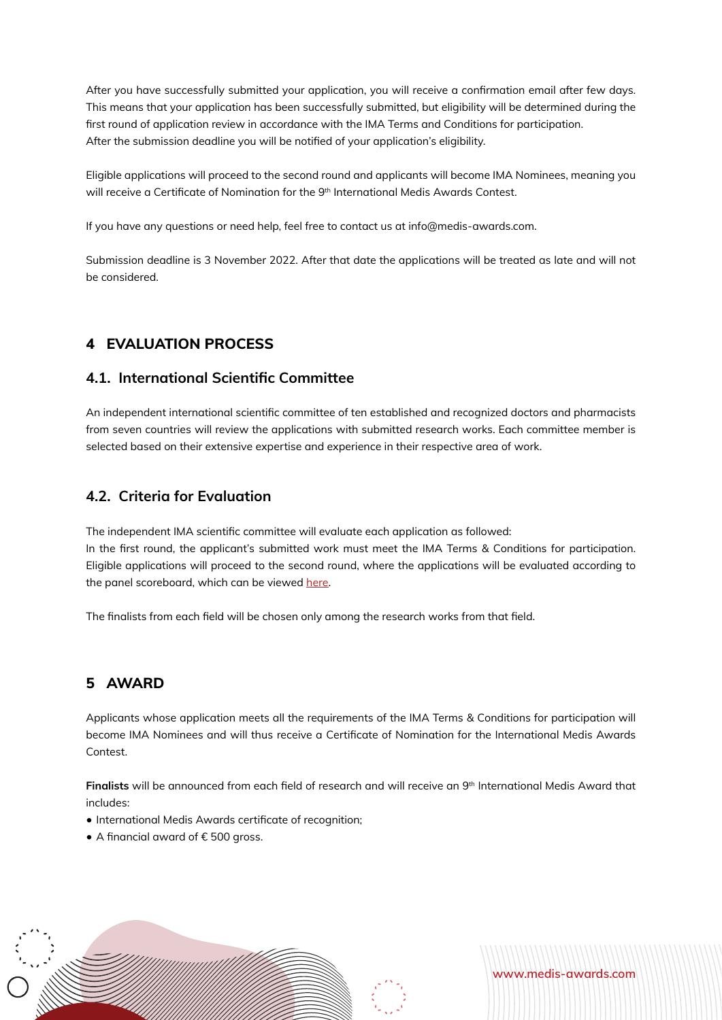After you have successfully submitted your application, you will receive a confirmation email after few days. This means that your application has been successfully submitted, but eligibility will be determined during the first round of application review in accordance with the IMA Terms and Conditions for participation. After the submission deadline you will be notified of your application's eligibility.

Eligible applications will proceed to the second round and applicants will become IMA Nominees, meaning you will receive a Certificate of Nomination for the 9<sup>th</sup> International Medis Awards Contest.

If you have any questions or need help, feel free to contact us at info@medis-awards.com.

Submission deadline is 3 November 2022. After that date the applications will be treated as late and will not be considered.

#### **4 EVALUATION PROCESS**

#### **4.1. International Scientific Committee**

An independent international scientific committee of ten established and recognized doctors and pharmacists from seven countries will review the applications with submitted research works. Each committee member is selected based on their extensive expertise and experience in their respective area of work.

#### **4.2. Criteria for Evaluation**

The independent IMA scientific committee will evaluate each application as followed: In the first round, the applicant's submitted work must meet the IMA Terms & Conditions for participation. Eligible applications will proceed to the second round, where the applications will be evaluated according to the panel scoreboard, which can be viewed [here.](https://medis-awards.com/fileadmin/medis-awards/Documents/Scoreboard.pdf)

The finalists from each field will be chosen only among the research works from that field.

#### **5 AWARD**

Applicants whose application meets all the requirements of the IMA Terms & Conditions for participation will become IMA Nominees and will thus receive a Certificate of Nomination for the International Medis Awards Contest.

Finalists will be announced from each field of research and will receive an 9<sup>th</sup> International Medis Award that includes:

- International Medis Awards certificate of recognition;
- A financial award of € 500 gross.



**www.medis-awards.com**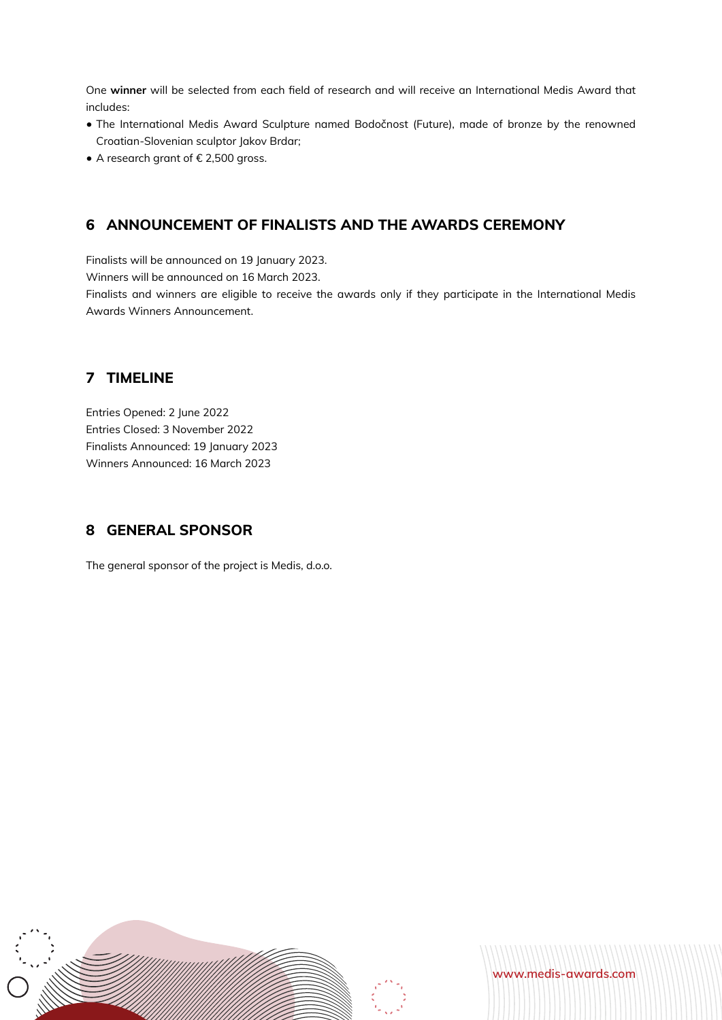One **winner** will be selected from each field of research and will receive an International Medis Award that includes:

- The International Medis Award Sculpture named Bodočnost (Future), made of bronze by the renowned Croatian-Slovenian sculptor Jakov Brdar;
- A research grant of € 2,500 gross.

#### **6 ANNOUNCEMENT OF FINALISTS AND THE AWARDS CEREMONY**

Finalists will be announced on 19 January 2023.

Winners will be announced on 16 March 2023.

Finalists and winners are eligible to receive the awards only if they participate in the International Medis Awards Winners Announcement.

#### **7 TIMELINE**

Entries Opened: 2 June 2022 Entries Closed: 3 November 2022 Finalists Announced: 19 January 2023 Winners Announced: 16 March 2023

#### **8 GENERAL SPONSOR**

The general sponsor of the project is Medis, d.o.o.